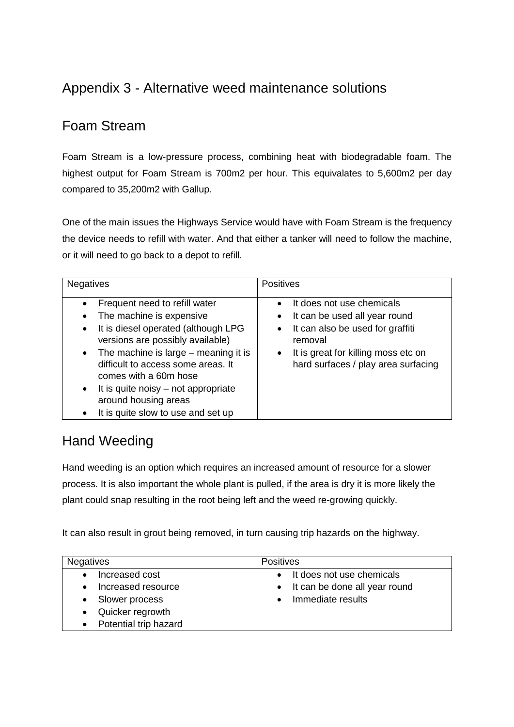# Appendix 3 - Alternative weed maintenance solutions

### Foam Stream

Foam Stream is a low-pressure process, combining heat with biodegradable foam. The highest output for Foam Stream is 700m2 per hour. This equivalates to 5,600m2 per day compared to 35,200m2 with Gallup.

One of the main issues the Highways Service would have with Foam Stream is the frequency the device needs to refill with water. And that either a tanker will need to follow the machine, or it will need to go back to a depot to refill.

| <b>Negatives</b>                                                                                                                                                                                                                                                                                                                                                                                       | <b>Positives</b>                                                                                                                                                                                                                            |
|--------------------------------------------------------------------------------------------------------------------------------------------------------------------------------------------------------------------------------------------------------------------------------------------------------------------------------------------------------------------------------------------------------|---------------------------------------------------------------------------------------------------------------------------------------------------------------------------------------------------------------------------------------------|
| Frequent need to refill water<br>$\bullet$<br>The machine is expensive<br>It is diesel operated (although LPG<br>$\bullet$<br>versions are possibly available)<br>The machine is large $-$ meaning it is<br>$\bullet$<br>difficult to access some areas. It<br>comes with a 60m hose<br>It is quite noisy – not appropriate<br>$\bullet$<br>around housing areas<br>It is quite slow to use and set up | It does not use chemicals<br>$\bullet$<br>It can be used all year round<br>$\bullet$<br>It can also be used for graffiti<br>$\bullet$<br>removal<br>It is great for killing moss etc on<br>$\bullet$<br>hard surfaces / play area surfacing |

### Hand Weeding

Hand weeding is an option which requires an increased amount of resource for a slower process. It is also important the whole plant is pulled, if the area is dry it is more likely the plant could snap resulting in the root being left and the weed re-growing quickly.

It can also result in grout being removed, in turn causing trip hazards on the highway.

| <b>Negatives</b>                     | <b>Positives</b>                                             |
|--------------------------------------|--------------------------------------------------------------|
| Increased cost<br>Increased resource | It does not use chemicals<br>• It can be done all year round |
| Slower process                       | Immediate results                                            |
| Quicker regrowth                     |                                                              |
| Potential trip hazard                |                                                              |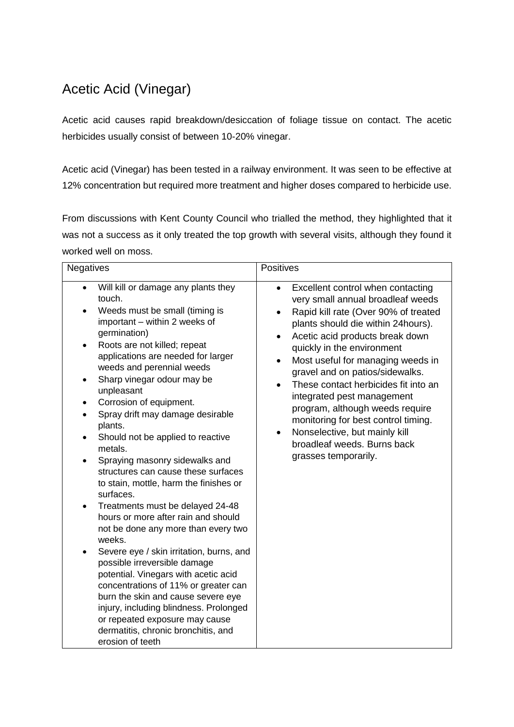# Acetic Acid (Vinegar)

Acetic acid causes rapid breakdown/desiccation of foliage tissue on contact. The acetic herbicides usually consist of between 10-20% vinegar.

Acetic acid (Vinegar) has been tested in a railway environment. It was seen to be effective at 12% concentration but required more treatment and higher doses compared to herbicide use.

From discussions with Kent County Council who trialled the method, they highlighted that it was not a success as it only treated the top growth with several visits, although they found it worked well on moss.

| <b>Negatives</b>                                                                                                                                                                                                                                                                                                                                                                                                                                                                                                                                                                                                                                                                                                                                                                                                                                                                                                                                                                                                                                   | <b>Positives</b>                                                                                                                                                                                                                                                                                                                                                                                                                                                                                                                                                                                                     |
|----------------------------------------------------------------------------------------------------------------------------------------------------------------------------------------------------------------------------------------------------------------------------------------------------------------------------------------------------------------------------------------------------------------------------------------------------------------------------------------------------------------------------------------------------------------------------------------------------------------------------------------------------------------------------------------------------------------------------------------------------------------------------------------------------------------------------------------------------------------------------------------------------------------------------------------------------------------------------------------------------------------------------------------------------|----------------------------------------------------------------------------------------------------------------------------------------------------------------------------------------------------------------------------------------------------------------------------------------------------------------------------------------------------------------------------------------------------------------------------------------------------------------------------------------------------------------------------------------------------------------------------------------------------------------------|
| Will kill or damage any plants they<br>touch.<br>Weeds must be small (timing is<br>important - within 2 weeks of<br>germination)<br>Roots are not killed; repeat<br>applications are needed for larger<br>weeds and perennial weeds<br>Sharp vinegar odour may be<br>٠<br>unpleasant<br>Corrosion of equipment.<br>$\bullet$<br>Spray drift may damage desirable<br>plants.<br>Should not be applied to reactive<br>metals.<br>Spraying masonry sidewalks and<br>$\bullet$<br>structures can cause these surfaces<br>to stain, mottle, harm the finishes or<br>surfaces.<br>Treatments must be delayed 24-48<br>٠<br>hours or more after rain and should<br>not be done any more than every two<br>weeks.<br>Severe eye / skin irritation, burns, and<br>possible irreversible damage<br>potential. Vinegars with acetic acid<br>concentrations of 11% or greater can<br>burn the skin and cause severe eye<br>injury, including blindness. Prolonged<br>or repeated exposure may cause<br>dermatitis, chronic bronchitis, and<br>erosion of teeth | Excellent control when contacting<br>$\bullet$<br>very small annual broadleaf weeds<br>Rapid kill rate (Over 90% of treated<br>$\bullet$<br>plants should die within 24 hours).<br>Acetic acid products break down<br>$\bullet$<br>quickly in the environment<br>Most useful for managing weeds in<br>$\bullet$<br>gravel and on patios/sidewalks.<br>These contact herbicides fit into an<br>$\bullet$<br>integrated pest management<br>program, although weeds require<br>monitoring for best control timing.<br>Nonselective, but mainly kill<br>$\bullet$<br>broadleaf weeds. Burns back<br>grasses temporarily. |